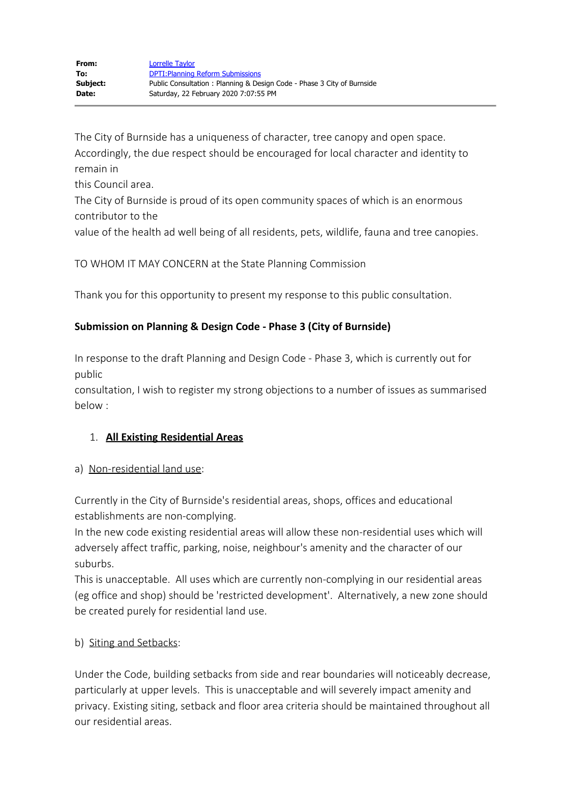The City of Burnside has a uniqueness of character, tree canopy and open space. Accordingly, the due respect should be encouraged for local character and identity to remain in

this Council area.

The City of Burnside is proud of its open community spaces of which is an enormous contributor to the

value of the health ad well being of all residents, pets, wildlife, fauna and tree canopies.

TO WHOM IT MAY CONCERN at the State Planning Commission

Thank you for this opportunity to present my response to this public consultation.

# **Submission on Planning & Design Code - Phase 3 (City of Burnside)**

In response to the draft Planning and Design Code - Phase 3, which is currently out for public

consultation, I wish to register my strong objections to a number of issues as summarised below :

### 1. **All Existing Residential Areas**

### a) Non-residential land use:

Currently in the City of Burnside's residential areas, shops, offices and educational establishments are non-complying.

In the new code existing residential areas will allow these non-residential uses which will adversely affect traffic, parking, noise, neighbour's amenity and the character of our suburbs.

This is unacceptable. All uses which are currently non-complying in our residential areas (eg office and shop) should be 'restricted development'. Alternatively, a new zone should be created purely for residential land use.

# b) Siting and Setbacks:

Under the Code, building setbacks from side and rear boundaries will noticeably decrease, particularly at upper levels. This is unacceptable and will severely impact amenity and privacy. Existing siting, setback and floor area criteria should be maintained throughout all our residential areas.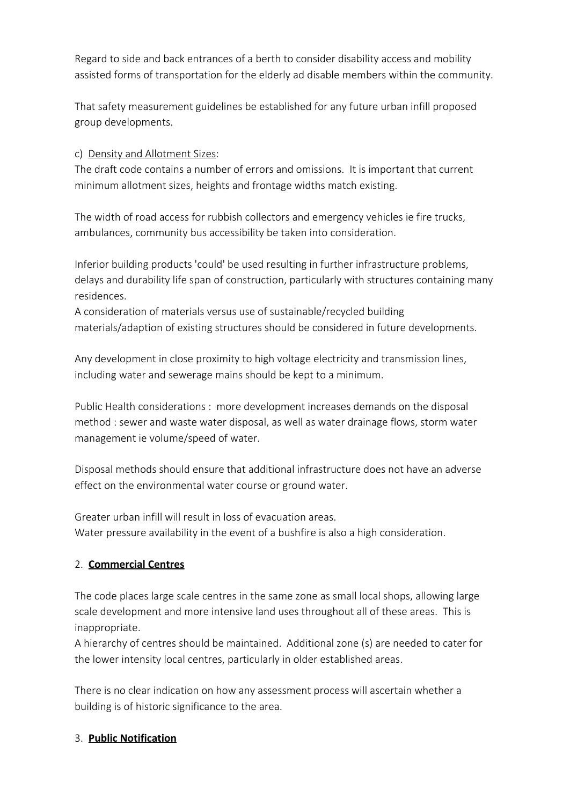Regard to side and back entrances of a berth to consider disability access and mobility assisted forms of transportation for the elderly ad disable members within the community.

That safety measurement guidelines be established for any future urban infill proposed group developments.

c) Density and Allotment Sizes:

The draft code contains a number of errors and omissions. It is important that current minimum allotment sizes, heights and frontage widths match existing.

The width of road access for rubbish collectors and emergency vehicles ie fire trucks, ambulances, community bus accessibility be taken into consideration.

Inferior building products 'could' be used resulting in further infrastructure problems, delays and durability life span of construction, particularly with structures containing many residences.

A consideration of materials versus use of sustainable/recycled building materials/adaption of existing structures should be considered in future developments.

Any development in close proximity to high voltage electricity and transmission lines, including water and sewerage mains should be kept to a minimum.

Public Health considerations : more development increases demands on the disposal method : sewer and waste water disposal, as well as water drainage flows, storm water management ie volume/speed of water.

Disposal methods should ensure that additional infrastructure does not have an adverse effect on the environmental water course or ground water.

Greater urban infill will result in loss of evacuation areas. Water pressure availability in the event of a bushfire is also a high consideration.

# 2. **Commercial Centres**

The code places large scale centres in the same zone as small local shops, allowing large scale development and more intensive land uses throughout all of these areas. This is inappropriate.

A hierarchy of centres should be maintained. Additional zone (s) are needed to cater for the lower intensity local centres, particularly in older established areas.

There is no clear indication on how any assessment process will ascertain whether a building is of historic significance to the area.

# 3. **Public Notification**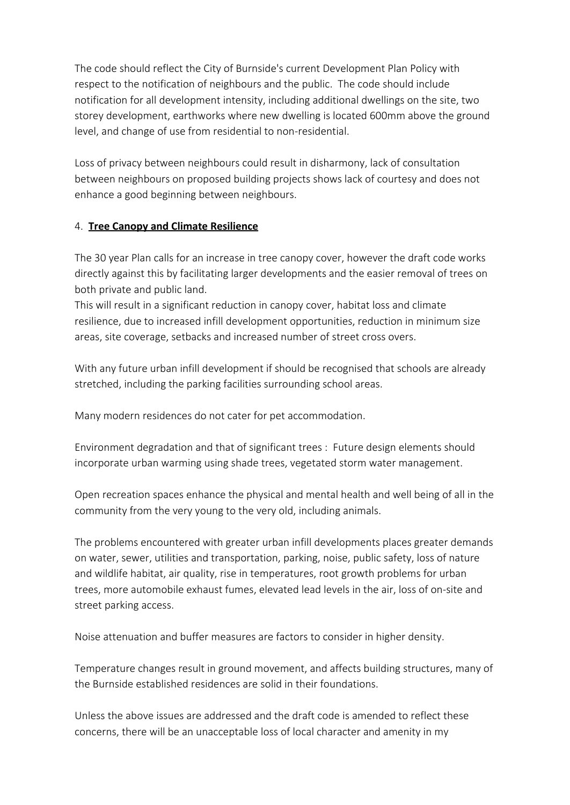The code should reflect the City of Burnside's current Development Plan Policy with respect to the notification of neighbours and the public. The code should include notification for all development intensity, including additional dwellings on the site, two storey development, earthworks where new dwelling is located 600mm above the ground level, and change of use from residential to non-residential.

Loss of privacy between neighbours could result in disharmony, lack of consultation between neighbours on proposed building projects shows lack of courtesy and does not enhance a good beginning between neighbours.

### 4. **Tree Canopy and Climate Resilience**

The 30 year Plan calls for an increase in tree canopy cover, however the draft code works directly against this by facilitating larger developments and the easier removal of trees on both private and public land.

This will result in a significant reduction in canopy cover, habitat loss and climate resilience, due to increased infill development opportunities, reduction in minimum size areas, site coverage, setbacks and increased number of street cross overs.

With any future urban infill development if should be recognised that schools are already stretched, including the parking facilities surrounding school areas.

Many modern residences do not cater for pet accommodation.

Environment degradation and that of significant trees : Future design elements should incorporate urban warming using shade trees, vegetated storm water management.

Open recreation spaces enhance the physical and mental health and well being of all in the community from the very young to the very old, including animals.

The problems encountered with greater urban infill developments places greater demands on water, sewer, utilities and transportation, parking, noise, public safety, loss of nature and wildlife habitat, air quality, rise in temperatures, root growth problems for urban trees, more automobile exhaust fumes, elevated lead levels in the air, loss of on-site and street parking access.

Noise attenuation and buffer measures are factors to consider in higher density.

Temperature changes result in ground movement, and affects building structures, many of the Burnside established residences are solid in their foundations.

Unless the above issues are addressed and the draft code is amended to reflect these concerns, there will be an unacceptable loss of local character and amenity in my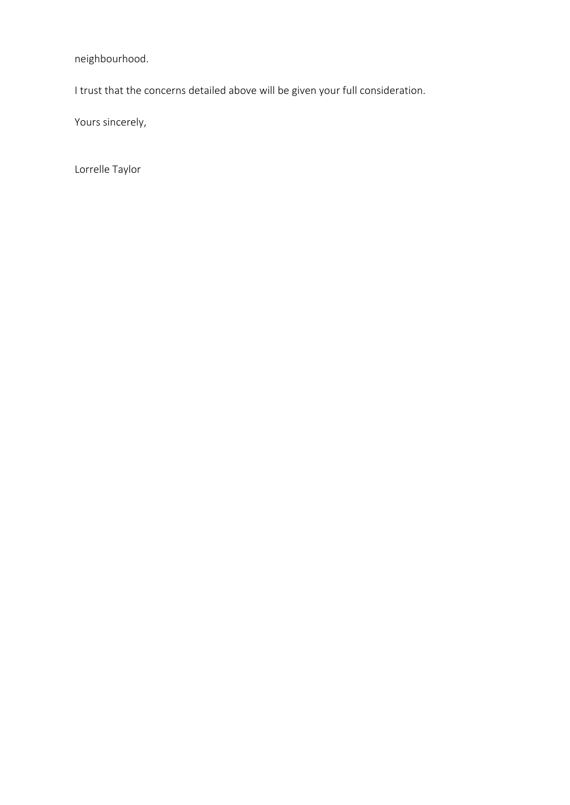neighbourhood.

I trust that the concerns detailed above will be given your full consideration.

Yours sincerely,

Lorrelle Taylor